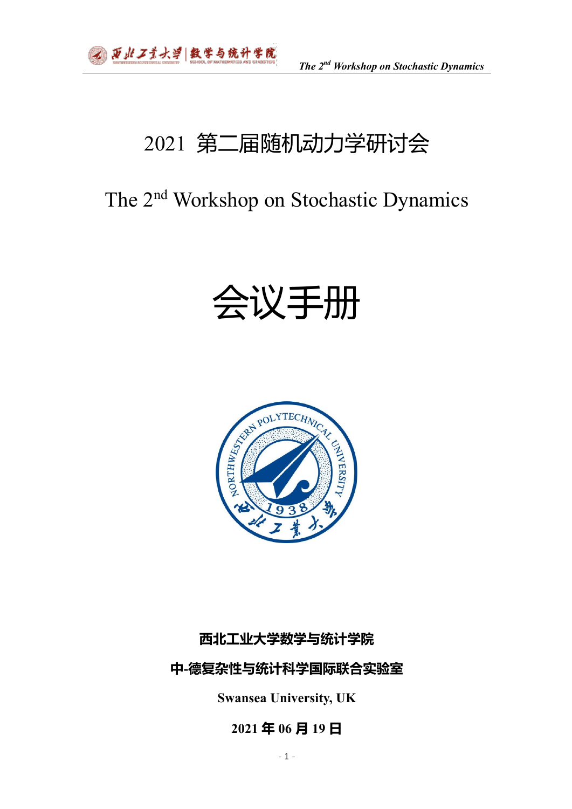# 2021 第二届随机动力学研讨会

# The 2nd Workshop on Stochastic Dynamics

# 会议手册



# **西北工业大学数学与统计学院**

# **中-德复杂性与统计科学国际联合实验室**

**Swansea University, UK**

# **2021 年 06 月 19 日**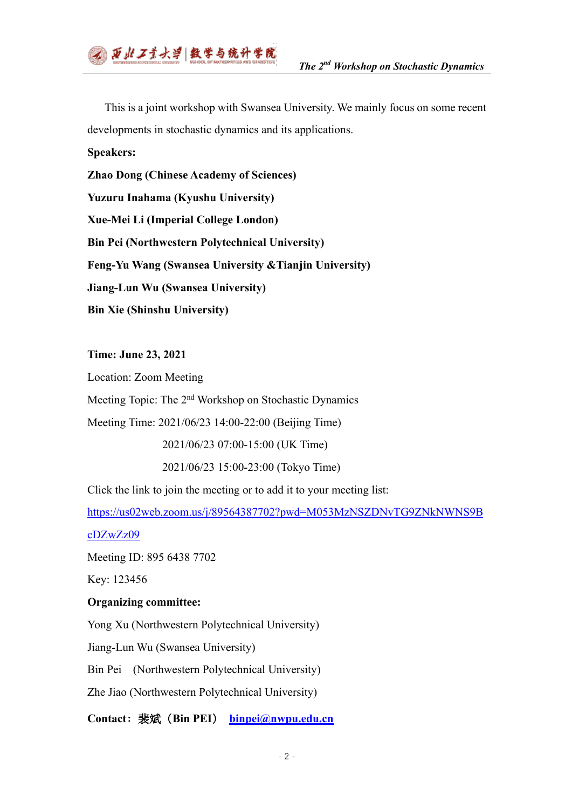

This is a joint workshop with Swansea University. We mainly focus on some recent developments in stochastic dynamics and its applications.

**Speakers:**

**Zhao Dong (Chinese Academy of Sciences) Yuzuru Inahama (Kyushu University) Xue-Mei Li (Imperial College London) Bin Pei (Northwestern Polytechnical University) Feng-Yu Wang (Swansea University &Tianjin University) Jiang-Lun Wu (Swansea University) Bin Xie (Shinshu University)**

**Time: June 23, 2021**

Location: Zoom Meeting

Meeting Topic: The 2nd Workshop on Stochastic Dynamics

Meeting Time: 2021/06/23 14:00-22:00 (Beijing Time)

2021/06/23 07:00-15:00 (UK Time)

2021/06/23 15:00-23:00 (Tokyo Time)

Click the link to join the meeting or to add it to your meeting list:

https://us02web.zoom.us/j/89564387702?pwd=M053MzNSZDNvTG9ZNkNWNS9B

cDZwZz09

Meeting ID: 895 6438 7702

Key: 123456

## **Organizing committee:**

Yong Xu (Northwestern Polytechnical University)

Jiang-Lun Wu (Swansea University)

Bin Pei (Northwestern Polytechnical University)

Zhe Jiao (Northwestern Polytechnical University)

**Contact**:裴斌(**Bin PEI**) **binpei@nwpu.edu.cn**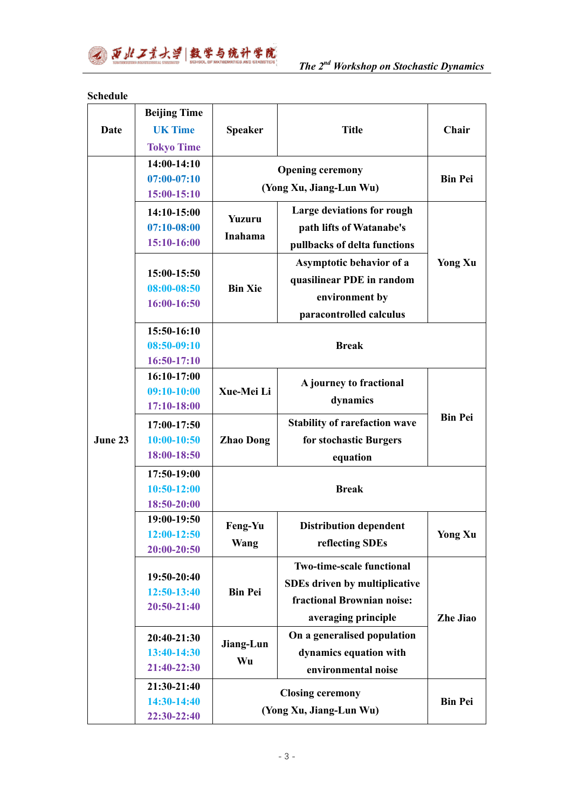

## **Schedule**

|         | <b>Beijing Time</b>        |                          |                                      |                 |
|---------|----------------------------|--------------------------|--------------------------------------|-----------------|
| Date    | <b>UK Time</b>             | <b>Speaker</b>           | <b>Title</b>                         | Chair           |
|         | <b>Tokyo Time</b>          |                          |                                      |                 |
|         | $14:00-14:10$              |                          |                                      | <b>Bin Pei</b>  |
| June 23 | $07:00-07:10$              |                          | <b>Opening ceremony</b>              |                 |
|         | 15:00-15:10                |                          | (Yong Xu, Jiang-Lun Wu)              |                 |
|         | 14:10-15:00                | <b>Yuzuru</b><br>Inahama | Large deviations for rough           | <b>Yong Xu</b>  |
|         | $07:10 - 08:00$            |                          | path lifts of Watanabe's             |                 |
|         | 15:10-16:00                |                          | pullbacks of delta functions         |                 |
|         |                            | <b>Bin Xie</b>           | Asymptotic behavior of a             |                 |
|         | 15:00-15:50                |                          | quasilinear PDE in random            |                 |
|         | $08:00 - 08:50$            |                          | environment by                       |                 |
|         | 16:00-16:50                |                          | paracontrolled calculus              |                 |
|         | 15:50-16:10                |                          |                                      |                 |
|         | $08:50-09:10$              | <b>Break</b>             |                                      |                 |
|         | 16:50-17:10                |                          |                                      |                 |
|         | 16:10-17:00                | Xue-Mei Li               |                                      | <b>Bin Pei</b>  |
|         | $09:10-10:00$              |                          | A journey to fractional              |                 |
|         | 17:10-18:00                |                          | dynamics                             |                 |
|         | 17:00-17:50                | <b>Zhao Dong</b>         | <b>Stability of rarefaction wave</b> |                 |
|         | $10:00-10:50$              |                          | for stochastic Burgers               |                 |
|         | 18:00-18:50                |                          | equation                             |                 |
|         | 17:50-19:00                | <b>Break</b>             |                                      |                 |
|         | 10:50-12:00                |                          |                                      |                 |
|         | 18:50-20:00                |                          |                                      |                 |
|         | 19:00-19:50                | Feng-Yu                  | <b>Distribution dependent</b>        |                 |
|         | 12:00-12:50                |                          |                                      | <b>Yong Xu</b>  |
|         | 20:00-20:50                | Wang                     | reflecting SDEs                      |                 |
|         |                            | <b>Bin Pei</b>           | <b>Two-time-scale functional</b>     | <b>Zhe Jiao</b> |
|         | 19:50-20:40<br>12:50-13:40 |                          | <b>SDEs driven by multiplicative</b> |                 |
|         | 20:50-21:40                |                          | fractional Brownian noise:           |                 |
|         |                            |                          | averaging principle                  |                 |
|         | 20:40-21:30                | Jiang-Lun<br>Wu          | On a generalised population          |                 |
|         | 13:40-14:30                |                          | dynamics equation with               |                 |
|         | 21:40-22:30                |                          | environmental noise                  |                 |
|         | 21:30-21:40                |                          |                                      | <b>Bin Pei</b>  |
|         | 14:30-14:40                | <b>Closing ceremony</b>  |                                      |                 |
|         | 22:30-22:40                | (Yong Xu, Jiang-Lun Wu)  |                                      |                 |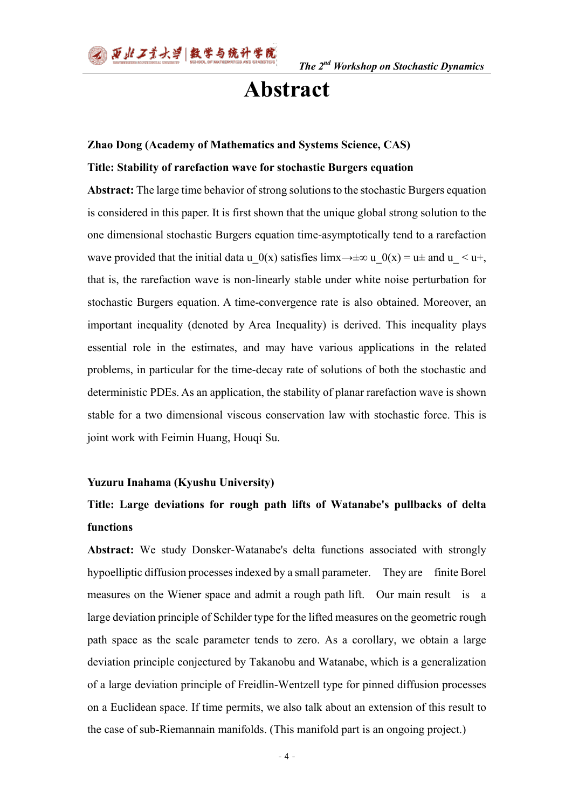# **Abstract**

#### **Zhao Dong (Academy of Mathematics and Systems Science, CAS)**

#### **Title: Stability of rarefaction wave for stochastic Burgers equation**

**Abstract:** The large time behavior of strong solutions to the stochastic Burgers equation is considered in this paper. It is first shown that the unique global strong solution to the one dimensional stochastic Burgers equation time-asymptotically tend to a rarefaction wave provided that the initial data u\_0(x) satisfies limx→ $\pm \infty$  u\_0(x) = u $\pm$  and u\_ < u+, that is, the rarefaction wave is non-linearly stable under white noise perturbation for stochastic Burgers equation. A time-convergence rate is also obtained. Moreover, an important inequality (denoted by Area Inequality) is derived. This inequality plays essential role in the estimates, and may have various applications in the related problems, in particular for the time-decay rate of solutions of both the stochastic and deterministic PDEs. As an application, the stability of planar rarefaction wave is shown stable for a two dimensional viscous conservation law with stochastic force. This is joint work with Feimin Huang, Houqi Su.

#### **Yuzuru Inahama (Kyushu University)**

# **Title: Large deviations for rough path lifts of Watanabe's pullbacks of delta functions**

**Abstract:** We study Donsker-Watanabe's delta functions associated with strongly hypoelliptic diffusion processes indexed by a small parameter. They are finite Borel measures on the Wiener space and admit a rough path lift. Our main result is a large deviation principle of Schilder type for the lifted measures on the geometric rough path space as the scale parameter tends to zero. As a corollary, we obtain a large deviation principle conjectured by Takanobu and Watanabe, which is a generalization of a large deviation principle of Freidlin-Wentzell type for pinned diffusion processes on a Euclidean space. If time permits, we also talk about an extension of this result to the case of sub-Riemannain manifolds. (This manifold part is an ongoing project.)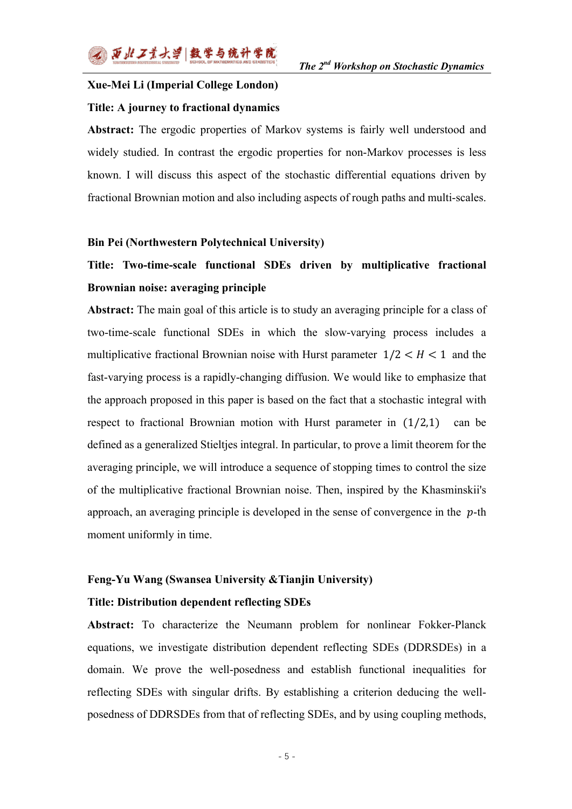# **Xue-Mei Li (Imperial College London) Title: A journey to fractional dynamics**

**Abstract:** The ergodic properties of Markov systems is fairly well understood and widely studied. In contrast the ergodic properties for non-Markov processes is less known. I will discuss this aspect of the stochastic differential equations driven by fractional Brownian motion and also including aspects of rough paths and multi-scales.

### **Bin Pei (Northwestern Polytechnical University)**

# **Title: Two-time-scale functional SDEs driven by multiplicative fractional Brownian noise: averaging principle**

**Abstract:** The main goal of this article is to study an averaging principle for a class of two-time-scale functional SDEs in which the slow-varying process includes a multiplicative fractional Brownian noise with Hurst parameter  $1/2 < H < 1$  and the fast-varying process is a rapidly-changing diffusion. We would like to emphasize that the approach proposed in this paper is based on the fact that a stochastic integral with respect to fractional Brownian motion with Hurst parameter in  $(1/2,1)$  can be defined as a generalized Stieltjes integral. In particular, to prove a limit theorem for the averaging principle, we will introduce a sequence of stopping times to control the size of the multiplicative fractional Brownian noise. Then, inspired by the Khasminskii's approach, an averaging principle is developed in the sense of convergence in the  $p$ -th moment uniformly in time.

## **Feng-Yu Wang (Swansea University &Tianjin University)**

#### **Title: Distribution dependent reflecting SDEs**

**Abstract:** To characterize the Neumann problem for nonlinear Fokker-Planck equations, we investigate distribution dependent reflecting SDEs (DDRSDEs) in a domain. We prove the well-posedness and establish functional inequalities for reflecting SDEs with singular drifts. By establishing a criterion deducing the wellposedness of DDRSDEs from that of reflecting SDEs, and by using coupling methods,